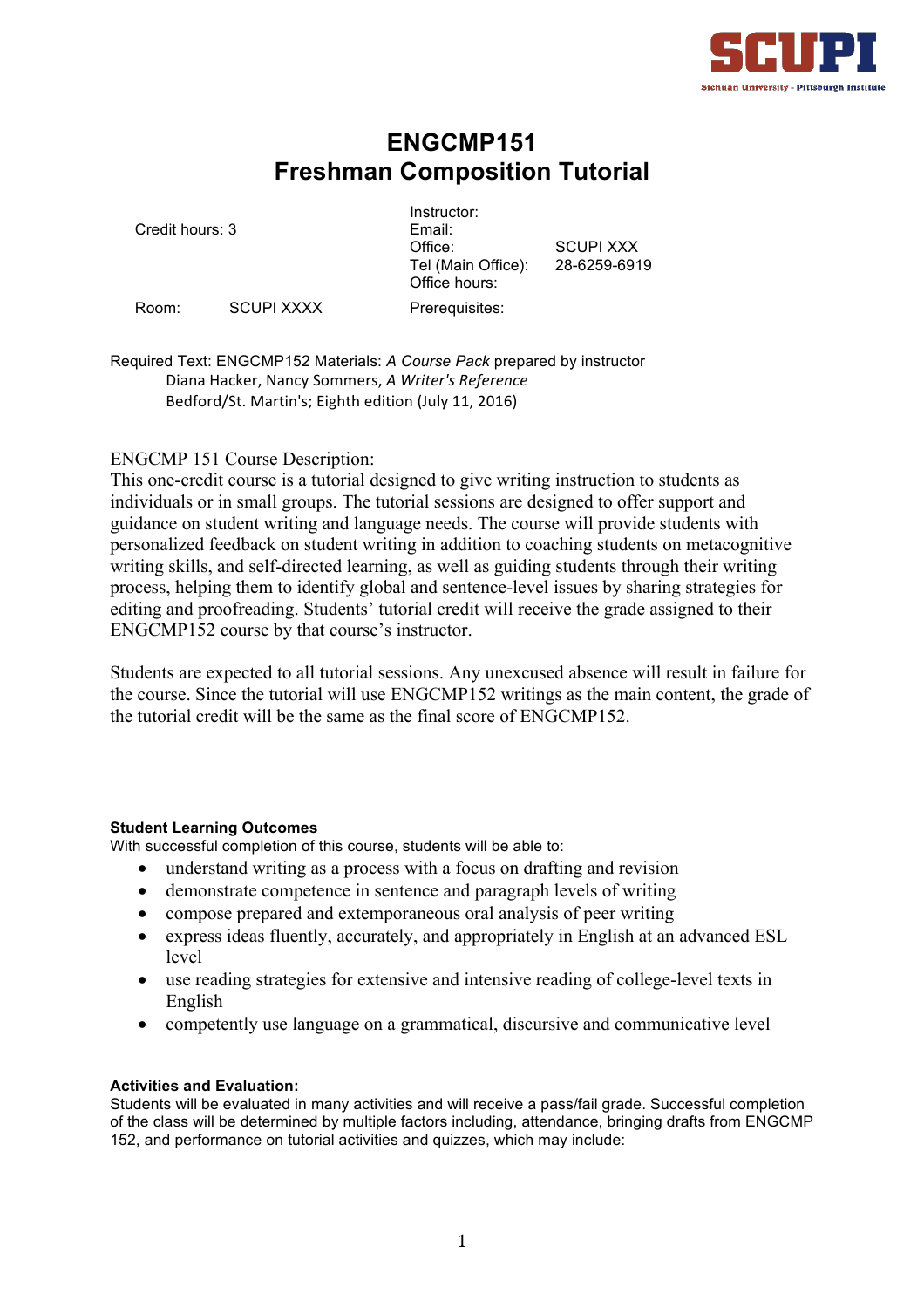

# **ENGCMP151 Freshman Composition Tutorial**

Credit hours: 3 Email:

Instructor: Office: SCUPI XXX<br>Tel (Main Office): 28-6259-6919 Tel (Main Office): Office hours:

Room: SCUPI XXXX Prerequisites:

Required Text: ENGCMP152 Materials: *A Course Pack* prepared by instructor Diana Hacker, Nancy Sommers, *A Writer's Reference* Bedford/St. Martin's: Eighth edition (July 11, 2016)

## ENGCMP 151 Course Description:

This one-credit course is a tutorial designed to give writing instruction to students as individuals or in small groups. The tutorial sessions are designed to offer support and guidance on student writing and language needs. The course will provide students with personalized feedback on student writing in addition to coaching students on metacognitive writing skills, and self-directed learning, as well as guiding students through their writing process, helping them to identify global and sentence-level issues by sharing strategies for editing and proofreading. Students' tutorial credit will receive the grade assigned to their ENGCMP152 course by that course's instructor.

Students are expected to all tutorial sessions. Any unexcused absence will result in failure for the course. Since the tutorial will use ENGCMP152 writings as the main content, the grade of the tutorial credit will be the same as the final score of ENGCMP152.

### **Student Learning Outcomes**

With successful completion of this course, students will be able to:

- understand writing as a process with a focus on drafting and revision
- demonstrate competence in sentence and paragraph levels of writing
- compose prepared and extemporaneous oral analysis of peer writing
- express ideas fluently, accurately, and appropriately in English at an advanced ESL level
- use reading strategies for extensive and intensive reading of college-level texts in English
- competently use language on a grammatical, discursive and communicative level

### **Activities and Evaluation:**

Students will be evaluated in many activities and will receive a pass/fail grade. Successful completion of the class will be determined by multiple factors including, attendance, bringing drafts from ENGCMP 152, and performance on tutorial activities and quizzes, which may include: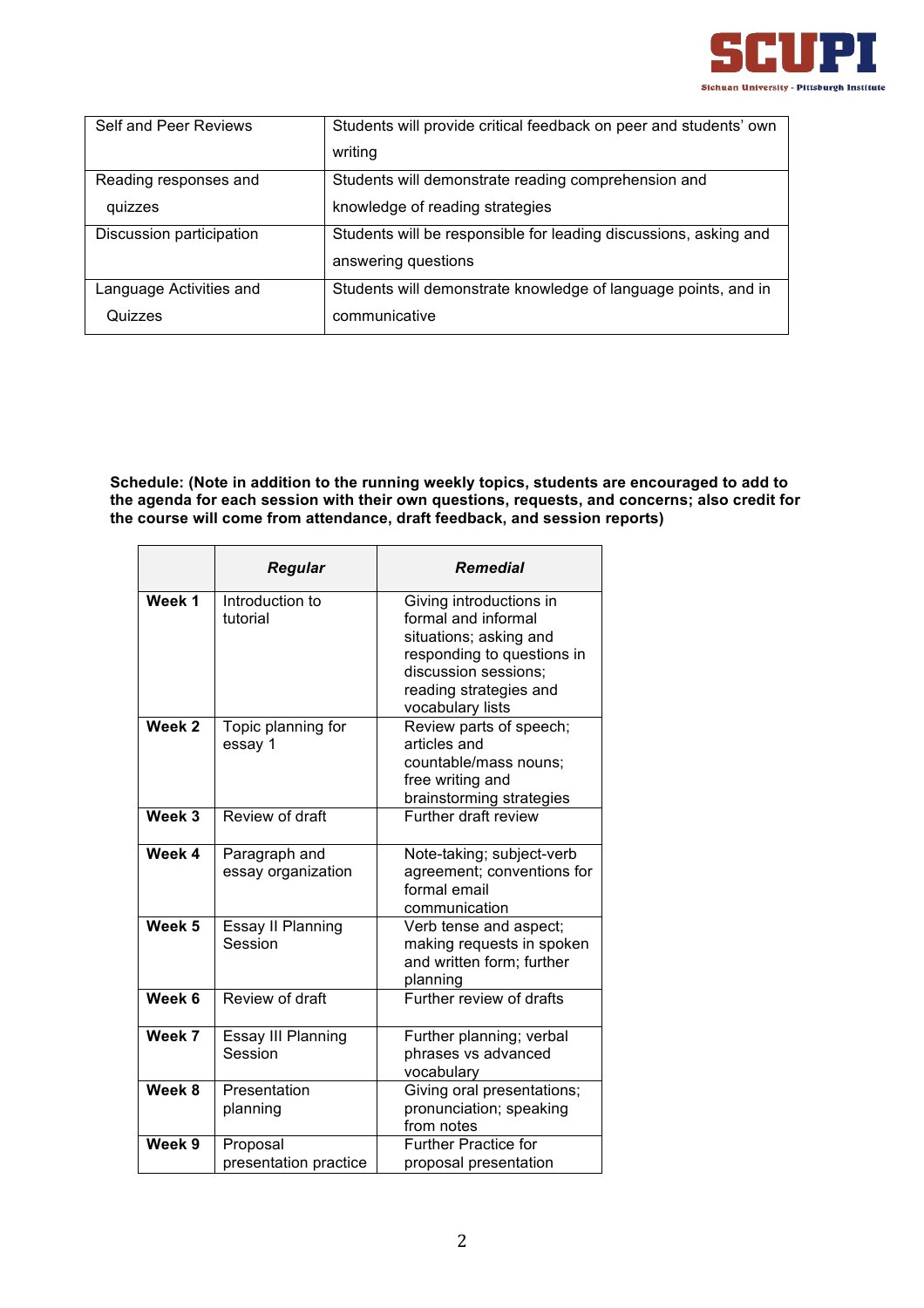

| Self and Peer Reviews    | Students will provide critical feedback on peer and students' own |
|--------------------------|-------------------------------------------------------------------|
|                          | writing                                                           |
| Reading responses and    | Students will demonstrate reading comprehension and               |
| quizzes                  | knowledge of reading strategies                                   |
| Discussion participation | Students will be responsible for leading discussions, asking and  |
|                          | answering questions                                               |
| Language Activities and  | Students will demonstrate knowledge of language points, and in    |
| Quizzes                  | communicative                                                     |

**Schedule: (Note in addition to the running weekly topics, students are encouraged to add to the agenda for each session with their own questions, requests, and concerns; also credit for the course will come from attendance, draft feedback, and session reports)**

|        | <b>Regular</b>                      | <b>Remedial</b>                                                                                                                                                              |
|--------|-------------------------------------|------------------------------------------------------------------------------------------------------------------------------------------------------------------------------|
| Week 1 | Introduction to<br>tutorial         | Giving introductions in<br>formal and informal<br>situations; asking and<br>responding to questions in<br>discussion sessions;<br>reading strategies and<br>vocabulary lists |
| Week 2 | Topic planning for<br>essay 1       | Review parts of speech;<br>articles and<br>countable/mass nouns;<br>free writing and<br>brainstorming strategies                                                             |
| Week 3 | Review of draft                     | Further draft review                                                                                                                                                         |
| Week 4 | Paragraph and<br>essay organization | Note-taking; subject-verb<br>agreement; conventions for<br>formal email<br>communication                                                                                     |
| Week 5 | Essay II Planning<br>Session        | Verb tense and aspect;<br>making requests in spoken<br>and written form; further<br>planning                                                                                 |
| Week 6 | Review of draft                     | Further review of drafts                                                                                                                                                     |
| Week 7 | Essay III Planning<br>Session       | Further planning; verbal<br>phrases vs advanced<br>vocabulary                                                                                                                |
| Week 8 | Presentation<br>planning            | Giving oral presentations;<br>pronunciation; speaking<br>from notes                                                                                                          |
| Week 9 | Proposal<br>presentation practice   | <b>Further Practice for</b><br>proposal presentation                                                                                                                         |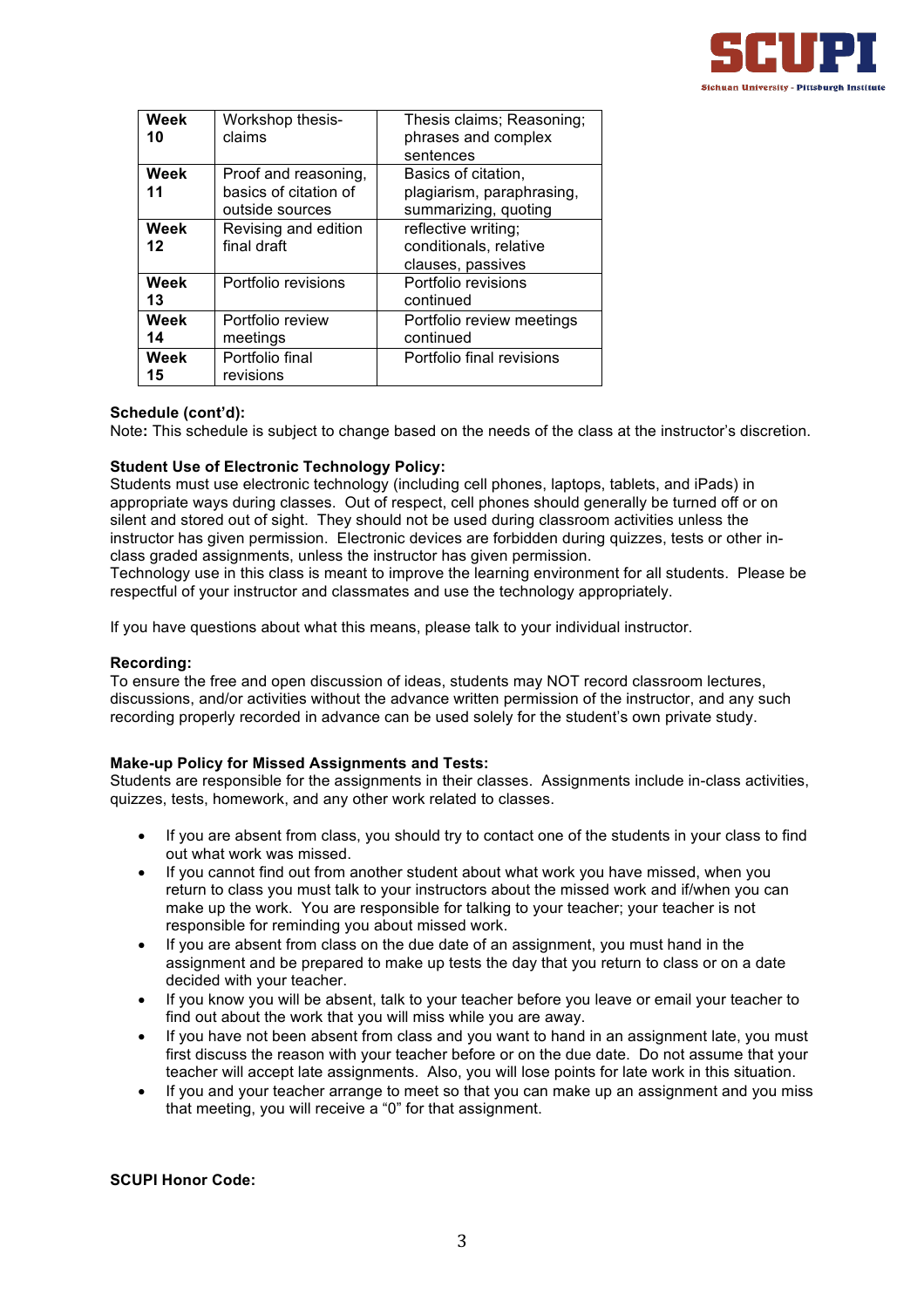

| Week | Workshop thesis-      | Thesis claims; Reasoning; |
|------|-----------------------|---------------------------|
| 10   | claims                | phrases and complex       |
|      |                       | sentences                 |
| Week | Proof and reasoning,  | Basics of citation,       |
| 11   | basics of citation of | plagiarism, paraphrasing, |
|      | outside sources       | summarizing, quoting      |
| Week | Revising and edition  | reflective writing;       |
| 12   | final draft           | conditionals, relative    |
|      |                       | clauses, passives         |
| Week | Portfolio revisions   | Portfolio revisions       |
| 13   |                       | continued                 |
| Week | Portfolio review      | Portfolio review meetings |
| 14   | meetings              | continued                 |
| Week | Portfolio final       | Portfolio final revisions |
| 15   | revisions             |                           |

#### **Schedule (cont'd):**

Note**:** This schedule is subject to change based on the needs of the class at the instructor's discretion.

#### **Student Use of Electronic Technology Policy:**

Students must use electronic technology (including cell phones, laptops, tablets, and iPads) in appropriate ways during classes. Out of respect, cell phones should generally be turned off or on silent and stored out of sight. They should not be used during classroom activities unless the instructor has given permission. Electronic devices are forbidden during quizzes, tests or other inclass graded assignments, unless the instructor has given permission. Technology use in this class is meant to improve the learning environment for all students. Please be respectful of your instructor and classmates and use the technology appropriately.

If you have questions about what this means, please talk to your individual instructor.

#### **Recording:**

To ensure the free and open discussion of ideas, students may NOT record classroom lectures, discussions, and/or activities without the advance written permission of the instructor, and any such recording properly recorded in advance can be used solely for the student's own private study.

#### **Make-up Policy for Missed Assignments and Tests:**

Students are responsible for the assignments in their classes. Assignments include in-class activities, quizzes, tests, homework, and any other work related to classes.

- If you are absent from class, you should try to contact one of the students in your class to find out what work was missed.
- If you cannot find out from another student about what work you have missed, when you return to class you must talk to your instructors about the missed work and if/when you can make up the work. You are responsible for talking to your teacher; your teacher is not responsible for reminding you about missed work.
- If you are absent from class on the due date of an assignment, you must hand in the assignment and be prepared to make up tests the day that you return to class or on a date decided with your teacher.
- If you know you will be absent, talk to your teacher before you leave or email your teacher to find out about the work that you will miss while you are away.
- If you have not been absent from class and you want to hand in an assignment late, you must first discuss the reason with your teacher before or on the due date. Do not assume that your teacher will accept late assignments. Also, you will lose points for late work in this situation.
- If you and your teacher arrange to meet so that you can make up an assignment and you miss that meeting, you will receive a "0" for that assignment.

#### **SCUPI Honor Code:**